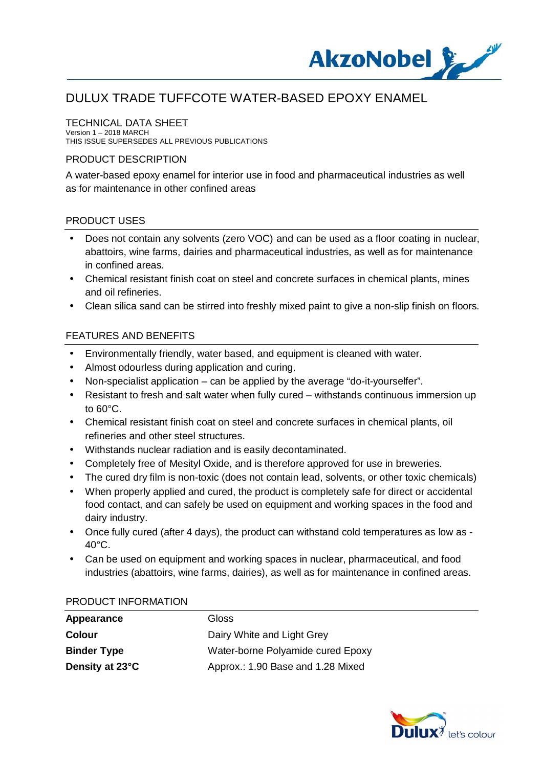

### TECHNICAL DATA SHEET

Version 1 – 2018 MARCH THIS ISSUE SUPERSEDES ALL PREVIOUS PUBLICATIONS

#### PRODUCT DESCRIPTION

A water-based epoxy enamel for interior use in food and pharmaceutical industries as well as for maintenance in other confined areas

#### PRODUCT USES

- Does not contain any solvents (zero VOC) and can be used as a floor coating in nuclear, abattoirs, wine farms, dairies and pharmaceutical industries, as well as for maintenance in confined areas.
- Chemical resistant finish coat on steel and concrete surfaces in chemical plants, mines and oil refineries.
- Clean silica sand can be stirred into freshly mixed paint to give a non-slip finish on floors.

### FEATURES AND BENEFITS

- Environmentally friendly, water based, and equipment is cleaned with water. t.
- Almost odourless during application and curing.
- Non-specialist application can be applied by the average "do-it-yourselfer".
- Resistant to fresh and salt water when fully cured withstands continuous immersion up to 60°C.
- Chemical resistant finish coat on steel and concrete surfaces in chemical plants, oil refineries and other steel structures.
- Withstands nuclear radiation and is easily decontaminated.
- Completely free of Mesityl Oxide, and is therefore approved for use in breweries.
- The cured dry film is non-toxic (does not contain lead, solvents, or other toxic chemicals)
- When properly applied and cured, the product is completely safe for direct or accidental food contact, and can safely be used on equipment and working spaces in the food and dairy industry.
- Once fully cured (after 4 days), the product can withstand cold temperatures as low as  $40^{\circ}$ C.
- Can be used on equipment and working spaces in nuclear, pharmaceutical, and food industries (abattoirs, wine farms, dairies), as well as for maintenance in confined areas.

#### PRODUCT INFORMATION

| Appearance         | <b>Gloss</b>                      |
|--------------------|-----------------------------------|
| <b>Colour</b>      | Dairy White and Light Grey        |
| <b>Binder Type</b> | Water-borne Polyamide cured Epoxy |
| Density at 23°C    | Approx.: 1.90 Base and 1.28 Mixed |

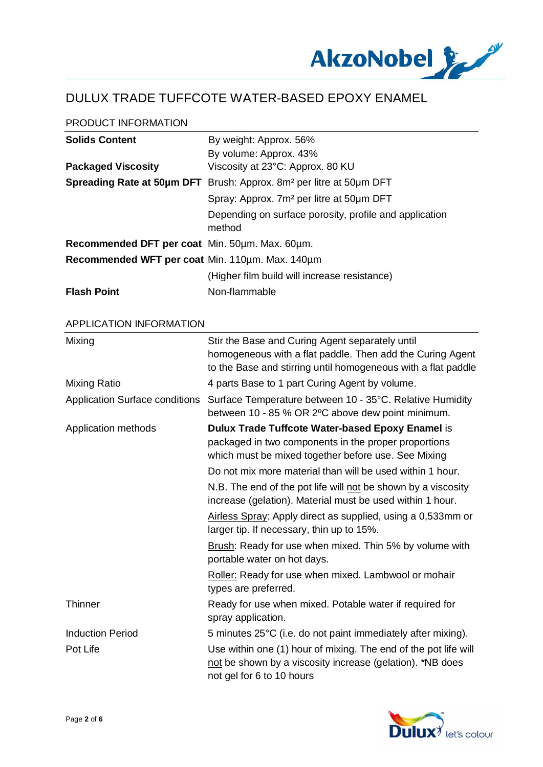

### PRODUCT INFORMATION

| <b>Solids Content</b>                           | By weight: Approx. 56%                                                          |
|-------------------------------------------------|---------------------------------------------------------------------------------|
|                                                 | By volume: Approx. 43%                                                          |
| <b>Packaged Viscosity</b>                       | Viscosity at 23°C: Approx. 80 KU                                                |
|                                                 | Spreading Rate at 50µm DFT Brush: Approx. 8m <sup>2</sup> per litre at 50µm DFT |
|                                                 | Spray: Approx. 7m <sup>2</sup> per litre at 50um DFT                            |
|                                                 | Depending on surface porosity, profile and application<br>method                |
| Recommended DFT per coat Min. 50um. Max. 60um.  |                                                                                 |
| Recommended WFT per coat Min. 110um. Max. 140um |                                                                                 |
|                                                 | (Higher film build will increase resistance)                                    |
| <b>Flash Point</b>                              | Non-flammable                                                                   |

#### APPLICATION INFORMATION

| Mixing                                | Stir the Base and Curing Agent separately until<br>homogeneous with a flat paddle. Then add the Curing Agent<br>to the Base and stirring until homogeneous with a flat paddle |
|---------------------------------------|-------------------------------------------------------------------------------------------------------------------------------------------------------------------------------|
| Mixing Ratio                          | 4 parts Base to 1 part Curing Agent by volume.                                                                                                                                |
| <b>Application Surface conditions</b> | Surface Temperature between 10 - 35°C. Relative Humidity<br>between 10 - 85 % OR 2°C above dew point minimum.                                                                 |
| Application methods                   | Dulux Trade Tuffcote Water-based Epoxy Enamel is<br>packaged in two components in the proper proportions<br>which must be mixed together before use. See Mixing               |
|                                       | Do not mix more material than will be used within 1 hour.                                                                                                                     |
|                                       | N.B. The end of the pot life will not be shown by a viscosity<br>increase (gelation). Material must be used within 1 hour.                                                    |
|                                       | Airless Spray: Apply direct as supplied, using a 0,533mm or<br>larger tip. If necessary, thin up to 15%.                                                                      |
|                                       | Brush: Ready for use when mixed. Thin 5% by volume with<br>portable water on hot days.                                                                                        |
|                                       | Roller: Ready for use when mixed. Lambwool or mohair<br>types are preferred.                                                                                                  |
| <b>Thinner</b>                        | Ready for use when mixed. Potable water if required for<br>spray application.                                                                                                 |
| <b>Induction Period</b>               | 5 minutes 25°C (i.e. do not paint immediately after mixing).                                                                                                                  |
| Pot Life                              | Use within one (1) hour of mixing. The end of the pot life will<br>not be shown by a viscosity increase (gelation). *NB does<br>not gel for 6 to 10 hours                     |

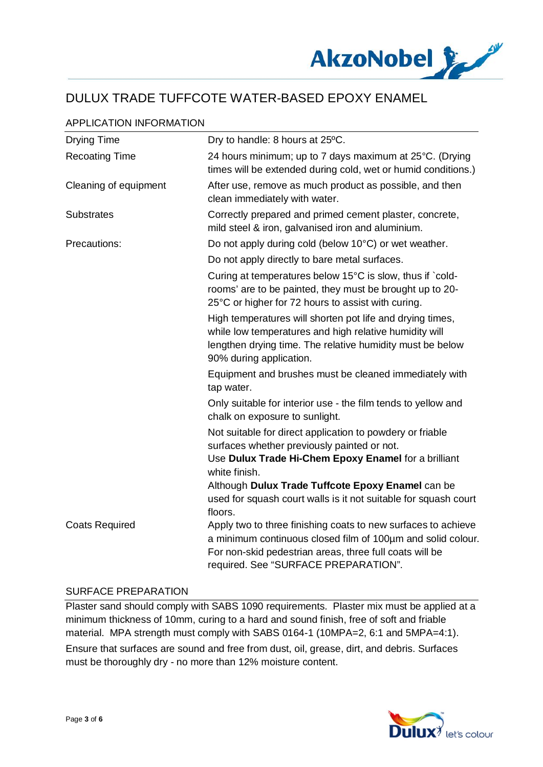

## APPLICATION INFORMATION

| <b>Drying Time</b>    | Dry to handle: 8 hours at 25°C.                                                                                                                                                                                                 |
|-----------------------|---------------------------------------------------------------------------------------------------------------------------------------------------------------------------------------------------------------------------------|
| <b>Recoating Time</b> | 24 hours minimum; up to 7 days maximum at 25°C. (Drying<br>times will be extended during cold, wet or humid conditions.)                                                                                                        |
| Cleaning of equipment | After use, remove as much product as possible, and then<br>clean immediately with water.                                                                                                                                        |
| <b>Substrates</b>     | Correctly prepared and primed cement plaster, concrete,<br>mild steel & iron, galvanised iron and aluminium.                                                                                                                    |
| Precautions:          | Do not apply during cold (below 10°C) or wet weather.                                                                                                                                                                           |
|                       | Do not apply directly to bare metal surfaces.                                                                                                                                                                                   |
|                       | Curing at temperatures below 15°C is slow, thus if `cold-<br>rooms' are to be painted, they must be brought up to 20-<br>25°C or higher for 72 hours to assist with curing.                                                     |
|                       | High temperatures will shorten pot life and drying times,<br>while low temperatures and high relative humidity will<br>lengthen drying time. The relative humidity must be below<br>90% during application.                     |
|                       | Equipment and brushes must be cleaned immediately with<br>tap water.                                                                                                                                                            |
|                       | Only suitable for interior use - the film tends to yellow and<br>chalk on exposure to sunlight.                                                                                                                                 |
|                       | Not suitable for direct application to powdery or friable<br>surfaces whether previously painted or not.                                                                                                                        |
|                       | Use Dulux Trade Hi-Chem Epoxy Enamel for a brilliant<br>white finish.                                                                                                                                                           |
|                       | Although Dulux Trade Tuffcote Epoxy Enamel can be                                                                                                                                                                               |
|                       | used for squash court walls is it not suitable for squash court<br>floors.                                                                                                                                                      |
| <b>Coats Required</b> | Apply two to three finishing coats to new surfaces to achieve<br>a minimum continuous closed film of 100um and solid colour.<br>For non-skid pedestrian areas, three full coats will be<br>required. See "SURFACE PREPARATION". |

#### SURFACE PREPARATION

Plaster sand should comply with SABS 1090 requirements. Plaster mix must be applied at a minimum thickness of 10mm, curing to a hard and sound finish, free of soft and friable material. MPA strength must comply with SABS 0164-1 (10MPA=2, 6:1 and 5MPA=4:1). Ensure that surfaces are sound and free from dust, oil, grease, dirt, and debris. Surfaces must be thoroughly dry - no more than 12% moisture content.

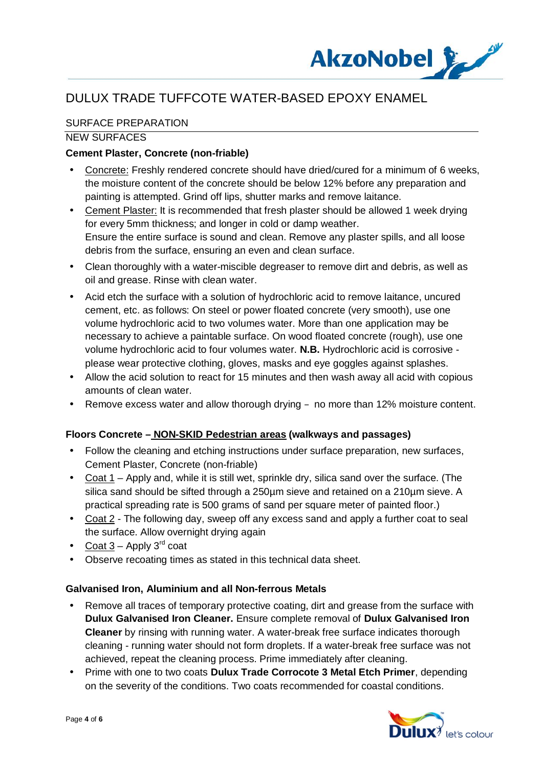

## SURFACE PREPARATION

#### NEW SURFACES

### **Cement Plaster, Concrete (non-friable)**

- Concrete: Freshly rendered concrete should have dried/cured for a minimum of 6 weeks, the moisture content of the concrete should be below 12% before any preparation and painting is attempted. Grind off lips, shutter marks and remove laitance.
- Cement Plaster: It is recommended that fresh plaster should be allowed 1 week drying for every 5mm thickness; and longer in cold or damp weather. Ensure the entire surface is sound and clean. Remove any plaster spills, and all loose debris from the surface, ensuring an even and clean surface.
- Clean thoroughly with a water-miscible degreaser to remove dirt and debris, as well as oil and grease. Rinse with clean water.
- Acid etch the surface with a solution of hydrochloric acid to remove laitance, uncured cement, etc. as follows: On steel or power floated concrete (very smooth), use one volume hydrochloric acid to two volumes water. More than one application may be necessary to achieve a paintable surface. On wood floated concrete (rough), use one volume hydrochloric acid to four volumes water. **N.B.** Hydrochloric acid is corrosive please wear protective clothing, gloves, masks and eye goggles against splashes.
- Allow the acid solution to react for 15 minutes and then wash away all acid with copious amounts of clean water.
- Remove excess water and allow thorough drying  $-$  no more than 12% moisture content.

### **Floors Concrete – NON-SKID Pedestrian areas (walkways and passages)**

- Follow the cleaning and etching instructions under surface preparation, new surfaces, Cement Plaster, Concrete (non-friable)
- Coat 1 Apply and, while it is still wet, sprinkle dry, silica sand over the surface. (The silica sand should be sifted through a 250um sieve and retained on a 210um sieve. A practical spreading rate is 500 grams of sand per square meter of painted floor.)
- Coat 2 The following day, sweep off any excess sand and apply a further coat to seal the surface. Allow overnight drying again
- Coat  $3$  Apply  $3^{\text{rd}}$  coat
- Observe recoating times as stated in this technical data sheet.

#### **Galvanised Iron, Aluminium and all Non-ferrous Metals**

- Remove all traces of temporary protective coating, dirt and grease from the surface with **Dulux Galvanised Iron Cleaner.** Ensure complete removal of **Dulux Galvanised Iron Cleaner** by rinsing with running water. A water-break free surface indicates thorough cleaning - running water should not form droplets. If a water-break free surface was not achieved, repeat the cleaning process. Prime immediately after cleaning.
- Prime with one to two coats **Dulux Trade Corrocote 3 Metal Etch Primer**, depending on the severity of the conditions. Two coats recommended for coastal conditions.

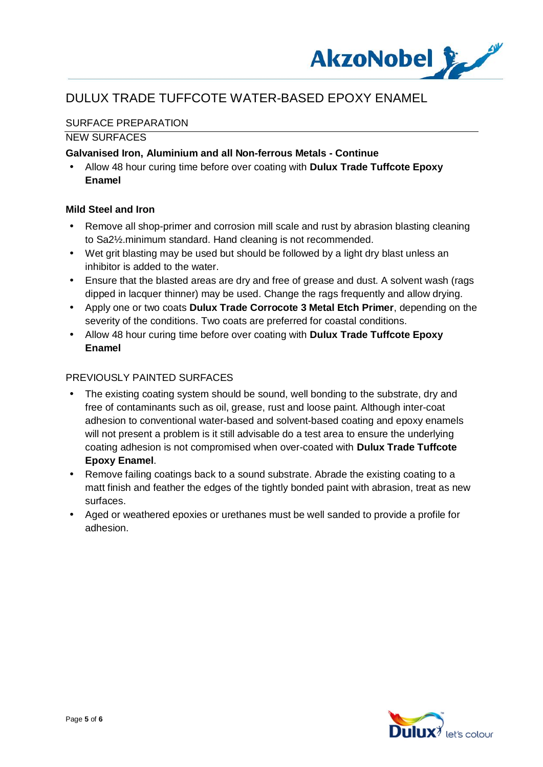

## SURFACE PREPARATION

### NEW SURFACES

#### **Galvanised Iron, Aluminium and all Non-ferrous Metals - Continue**

 Allow 48 hour curing time before over coating with **Dulux Trade Tuffcote Epoxy Enamel**

#### **Mild Steel and Iron**

- Remove all shop-primer and corrosion mill scale and rust by abrasion blasting cleaning to Sa2½.minimum standard. Hand cleaning is not recommended.
- Wet grit blasting may be used but should be followed by a light dry blast unless an inhibitor is added to the water.
- Ensure that the blasted areas are dry and free of grease and dust. A solvent wash (rags dipped in lacquer thinner) may be used. Change the rags frequently and allow drying.
- Apply one or two coats **Dulux Trade Corrocote 3 Metal Etch Primer**, depending on the severity of the conditions. Two coats are preferred for coastal conditions.
- Allow 48 hour curing time before over coating with **Dulux Trade Tuffcote Epoxy Enamel**

#### PREVIOUSLY PAINTED SURFACES

- The existing coating system should be sound, well bonding to the substrate, dry and free of contaminants such as oil, grease, rust and loose paint. Although inter-coat adhesion to conventional water-based and solvent-based coating and epoxy enamels will not present a problem is it still advisable do a test area to ensure the underlying coating adhesion is not compromised when over-coated with **Dulux Trade Tuffcote Epoxy Enamel**.
- Remove failing coatings back to a sound substrate. Abrade the existing coating to a matt finish and feather the edges of the tightly bonded paint with abrasion, treat as new surfaces.
- Aged or weathered epoxies or urethanes must be well sanded to provide a profile for adhesion.